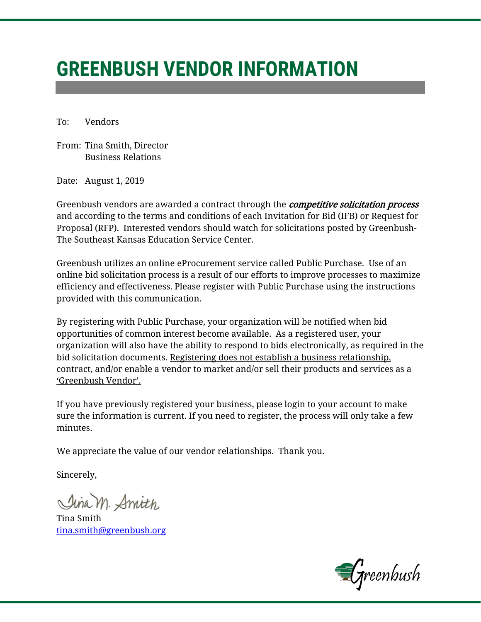# **GREENBUSH VENDOR INFORMATION**

To: Vendors

From: Tina Smith, Director Business Relations

Date: August 1, 2019

Greenbush vendors are awarded a contract through the *competitive solicitation process* and according to the terms and conditions of each Invitation for Bid (IFB) or Request for Proposal (RFP). Interested vendors should watch for solicitations posted by Greenbush-The Southeast Kansas Education Service Center.

Greenbush utilizes an online eProcurement service called Public Purchase. Use of an online bid solicitation process is a result of our efforts to improve processes to maximize efficiency and effectiveness. Please register with Public Purchase using the instructions provided with this communication.

By registering with Public Purchase, your organization will be notified when bid opportunities of common interest become available. As a registered user, your organization will also have the ability to respond to bids electronically, as required in the bid solicitation documents. Registering does not establish a business relationship, contract, and/or enable a vendor to market and/or sell their products and services as a 'Greenbush Vendor'.

If you have previously registered your business, please login to your account to make sure the information is current. If you need to register, the process will only take a few minutes.

We appreciate the value of our vendor relationships. Thank you.

Sincerely,

Jina M. Amith

Tina Smith [tina.smith@greenbush.org](mailto:tina.smith@greenbush.org)

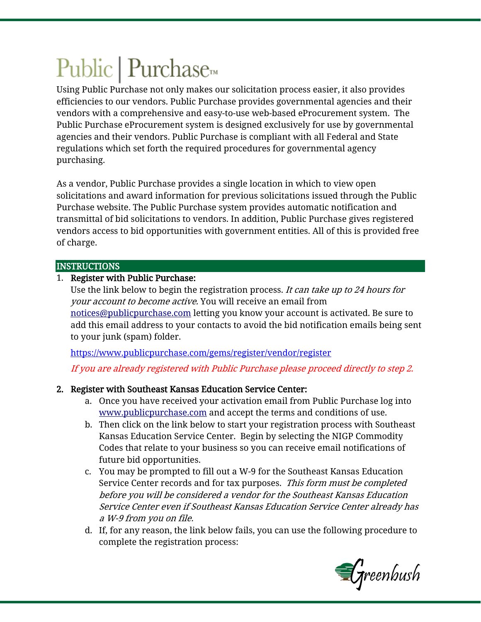# Public | Purchase<sub>™</sub>

Using Public Purchase not only makes our solicitation process easier, it also provides efficiencies to our vendors. Public Purchase provides governmental agencies and their vendors with a comprehensive and easy-to-use web-based eProcurement system. The Public Purchase eProcurement system is designed exclusively for use by governmental agencies and their vendors. Public Purchase is compliant with all Federal and State regulations which set forth the required procedures for governmental agency purchasing.

As a vendor, Public Purchase provides a single location in which to view open solicitations and award information for previous solicitations issued through the Public Purchase website. The Public Purchase system provides automatic notification and transmittal of bid solicitations to vendors. In addition, Public Purchase gives registered vendors access to bid opportunities with government entities. All of this is provided free of charge.

#### INSTRUCTIONS

## 1. Register with Public Purchase:

Use the link below to begin the registration process. It can take up to 24 hours for your account to become active. You will receive an email from [notices@publicpurchase.com](mailto:notices@publicpurchase.com) letting you know your account is activated. Be sure to add this email address to your contacts to avoid the bid notification emails being sent to your junk (spam) folder.

<https://www.publicpurchase.com/gems/register/vendor/register>

If you are already registered with Public Purchase please proceed directly to step 2.

# 2. Register with Southeast Kansas Education Service Center:

- a. Once you have received your activation email from Public Purchase log into [www.publicpurchase.com](http://www.publicpurchase.com/) and accept the terms and conditions of use.
- b. Then click on the link below to start your registration process with Southeast Kansas Education Service Center. Begin by selecting the NIGP Commodity Codes that relate to your business so you can receive email notifications of future bid opportunities.
- c. You may be prompted to fill out a W-9 for the Southeast Kansas Education Service Center records and for tax purposes. This form must be completed before you will be considered a vendor for the Southeast Kansas Education Service Center even if Southeast Kansas Education Service Center already has a W-9 from you on file.
- d. If, for any reason, the link below fails, you can use the following procedure to complete the registration process: